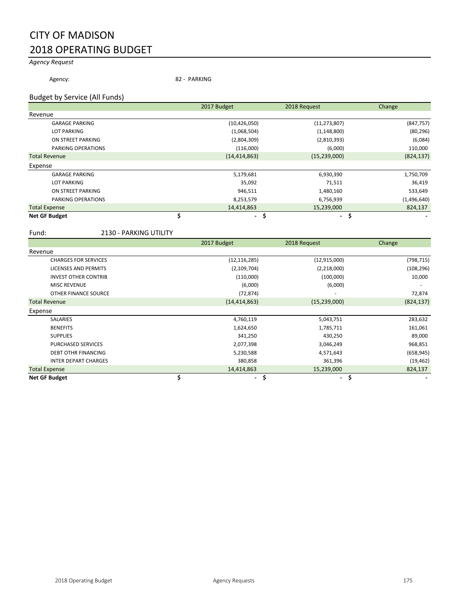# CITY OF MADISON 2018 OPERATING BUDGET

## *Agency Request*

Agency: 82 - PARKING

### Budget by Service (All Funds)

|                       | 2017 Budget    | 2018 Request   | Change      |
|-----------------------|----------------|----------------|-------------|
| Revenue               |                |                |             |
| <b>GARAGE PARKING</b> | (10, 426, 050) | (11, 273, 807) | (847, 757)  |
| <b>LOT PARKING</b>    | (1,068,504)    | (1, 148, 800)  | (80, 296)   |
| ON STREET PARKING     | (2,804,309)    | (2,810,393)    | (6,084)     |
| PARKING OPERATIONS    | (116,000)      | (6,000)        | 110,000     |
| <b>Total Revenue</b>  | (14, 414, 863) | (15, 239, 000) | (824, 137)  |
| Expense               |                |                |             |
| <b>GARAGE PARKING</b> | 5,179,681      | 6,930,390      | 1,750,709   |
| <b>LOT PARKING</b>    | 35,092         | 71,511         | 36,419      |
| ON STREET PARKING     | 946,511        | 1,480,160      | 533,649     |
| PARKING OPERATIONS    | 8,253,579      | 6,756,939      | (1,496,640) |
| <b>Total Expense</b>  | 14,414,863     | 15,239,000     | 824,137     |
| <b>Net GF Budget</b>  | \$<br>$\sim$   | $\blacksquare$ | s           |

#### Fund: 2130 - PARKING UTILITY

|                             | 2017 Budget          | 2018 Request   | Change     |
|-----------------------------|----------------------|----------------|------------|
| Revenue                     |                      |                |            |
| <b>CHARGES FOR SERVICES</b> | (12, 116, 285)       | (12, 915, 000) | (798, 715) |
| <b>LICENSES AND PERMITS</b> | (2, 109, 704)        | (2,218,000)    | (108, 296) |
| <b>INVEST OTHER CONTRIB</b> | (110,000)            | (100,000)      | 10,000     |
| <b>MISC REVENUE</b>         | (6,000)              | (6,000)        |            |
| OTHER FINANCE SOURCE        | (72, 874)            |                | 72,874     |
| <b>Total Revenue</b>        | (14, 414, 863)       | (15, 239, 000) | (824, 137) |
| Expense                     |                      |                |            |
| <b>SALARIES</b>             | 4,760,119            | 5,043,751      | 283,632    |
| <b>BENEFITS</b>             | 1,624,650            | 1,785,711      | 161,061    |
| <b>SUPPLIES</b>             | 341,250              | 430,250        | 89,000     |
| <b>PURCHASED SERVICES</b>   | 2,077,398            | 3,046,249      | 968,851    |
| <b>DEBT OTHR FINANCING</b>  | 5,230,588            | 4,571,643      | (658, 945) |
| <b>INTER DEPART CHARGES</b> | 380,858              | 361,396        | (19, 462)  |
| <b>Total Expense</b>        | 14,414,863           | 15,239,000     | 824,137    |
| <b>Net GF Budget</b>        | \$<br>$\blacksquare$ | \$<br>۰.       | \$         |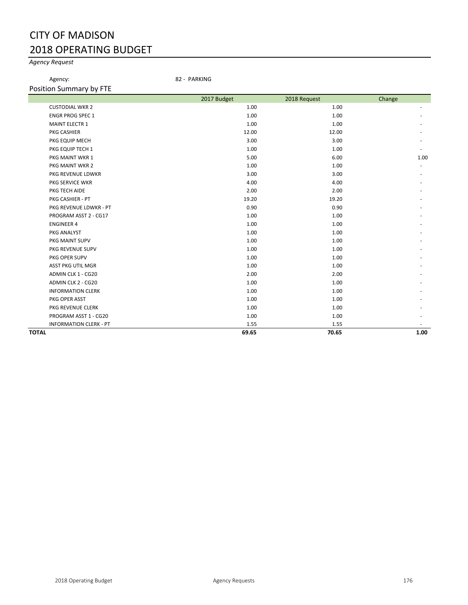# CITY OF MADISON 2018 OPERATING BUDGET

## *Agency Request*

Agency: 82 - PARKING

|              |                               | 2017 Budget | 2018 Request | Change |
|--------------|-------------------------------|-------------|--------------|--------|
|              | <b>CUSTODIAL WKR 2</b>        | 1.00        | 1.00         |        |
|              | <b>ENGR PROG SPEC 1</b>       | 1.00        | 1.00         |        |
|              | <b>MAINT ELECTR 1</b>         | 1.00        | 1.00         |        |
|              | PKG CASHIER                   | 12.00       | 12.00        |        |
|              | PKG EQUIP MECH                | 3.00        | 3.00         |        |
|              | PKG EQUIP TECH 1              | 1.00        | 1.00         |        |
|              | PKG MAINT WKR 1               | 5.00        | 6.00         | 1.00   |
|              | PKG MAINT WKR 2               | 1.00        | 1.00         |        |
|              | PKG REVENUE LDWKR             | 3.00        | 3.00         |        |
|              | PKG SERVICE WKR               | 4.00        | 4.00         |        |
|              | PKG TECH AIDE                 | 2.00        | 2.00         |        |
|              | PKG CASHIER - PT              | 19.20       | 19.20        |        |
|              | PKG REVENUE LDWKR - PT        | 0.90        | 0.90         |        |
|              | PROGRAM ASST 2 - CG17         | 1.00        | 1.00         |        |
|              | <b>ENGINEER 4</b>             | 1.00        | 1.00         |        |
|              | PKG ANALYST                   | 1.00        | 1.00         |        |
|              | PKG MAINT SUPV                | 1.00        | 1.00         |        |
|              | PKG REVENUE SUPV              | 1.00        | 1.00         |        |
|              | PKG OPER SUPV                 | 1.00        | 1.00         |        |
|              | <b>ASST PKG UTIL MGR</b>      | 1.00        | 1.00         |        |
|              | ADMIN CLK 1 - CG20            | 2.00        | 2.00         |        |
|              | ADMIN CLK 2 - CG20            | 1.00        | 1.00         |        |
|              | <b>INFORMATION CLERK</b>      | 1.00        | 1.00         |        |
|              | PKG OPER ASST                 | 1.00        | 1.00         |        |
|              | PKG REVENUE CLERK             | 1.00        | 1.00         |        |
|              | PROGRAM ASST 1 - CG20         | 1.00        | 1.00         |        |
|              | <b>INFORMATION CLERK - PT</b> | 1.55        | 1.55         |        |
| <b>TOTAL</b> |                               | 69.65       | 70.65        | 1.00   |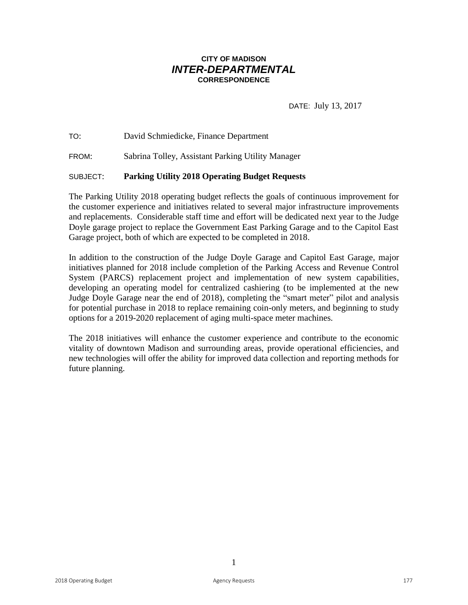# **CITY OF MADISON** *INTER-DEPARTMENTAL* **CORRESPONDENCE**

DATE: July 13, 2017

TO: David Schmiedicke, Finance Department

FROM: Sabrina Tolley, Assistant Parking Utility Manager

### SUBJECT: **Parking Utility 2018 Operating Budget Requests**

The Parking Utility 2018 operating budget reflects the goals of continuous improvement for the customer experience and initiatives related to several major infrastructure improvements and replacements. Considerable staff time and effort will be dedicated next year to the Judge Doyle garage project to replace the Government East Parking Garage and to the Capitol East Garage project, both of which are expected to be completed in 2018.

In addition to the construction of the Judge Doyle Garage and Capitol East Garage, major initiatives planned for 2018 include completion of the Parking Access and Revenue Control System (PARCS) replacement project and implementation of new system capabilities, developing an operating model for centralized cashiering (to be implemented at the new Judge Doyle Garage near the end of 2018), completing the "smart meter" pilot and analysis for potential purchase in 2018 to replace remaining coin-only meters, and beginning to study options for a 2019-2020 replacement of aging multi-space meter machines.

The 2018 initiatives will enhance the customer experience and contribute to the economic vitality of downtown Madison and surrounding areas, provide operational efficiencies, and new technologies will offer the ability for improved data collection and reporting methods for future planning.

1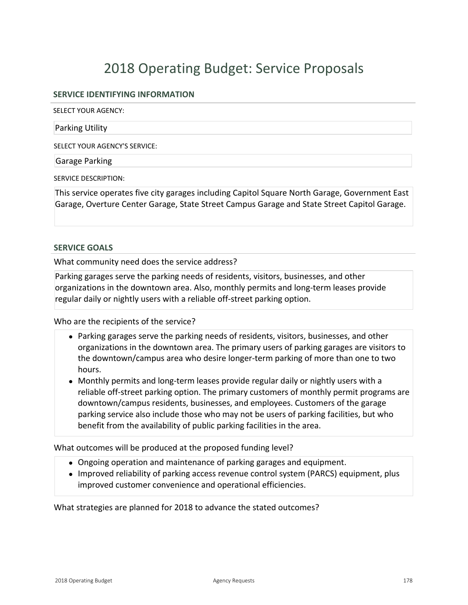### **SERVICE IDENTIFYING INFORMATION**

SELECT YOUR AGENCY:

Parking Utility

SELECT YOUR AGENCY'S SERVICE:

Garage Parking

SERVICE DESCRIPTION:

This service operates five city garages including Capitol Square North Garage, Government East Garage, Overture Center Garage, State Street Campus Garage and State Street Capitol Garage.

### **SERVICE GOALS**

What community need does the service address?

Parking garages serve the parking needs of residents, visitors, businesses, and other organizations in the downtown area. Also, monthly permits and long-term leases provide regular daily or nightly users with a reliable off-street parking option.

Who are the recipients of the service?

- Parking garages serve the parking needs of residents, visitors, businesses, and other organizations in the downtown area. The primary users of parking garages are visitors to the downtown/campus area who desire longer-term parking of more than one to two hours.
- $\bullet$  Monthly permits and long-term leases provide regular daily or nightly users with a reliable off-street parking option. The primary customers of monthly permit programs are downtown/campus residents, businesses, and employees. Customers of the garage parking service also include those who may not be users of parking facilities, but who benefit from the availability of public parking facilities in the area.

What outcomes will be produced at the proposed funding level?

- Ongoing operation and maintenance of parking garages and equipment.
- Improved reliability of parking access revenue control system (PARCS) equipment, plus improved customer convenience and operational efficiencies.

What strategies are planned for 2018 to advance the stated outcomes?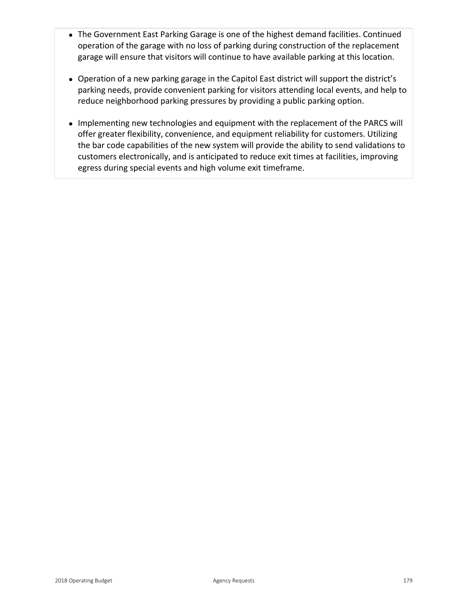- The Government East Parking Garage is one of the highest demand facilities. Continued operation of the garage with no loss of parking during construction of the replacement garage will ensure that visitors will continue to have available parking at this location.
- Operation of a new parking garage in the Capitol East district will support the district's parking needs, provide convenient parking for visitors attending local events, and help to reduce neighborhood parking pressures by providing a public parking option.
- Implementing new technologies and equipment with the replacement of the PARCS will offer greater flexibility, convenience, and equipment reliability for customers. Utilizing the bar code capabilities of the new system will provide the ability to send validations to customers electronically, and is anticipated to reduce exit times at facilities, improving egress during special events and high volume exit timeframe.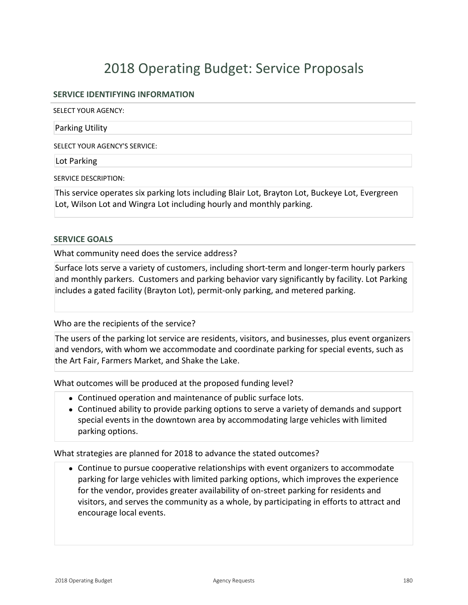## **SERVICE IDENTIFYING INFORMATION**

SELECT YOUR AGENCY:

Parking Utility

SELECT YOUR AGENCY'S SERVICE:

Lot Parking

SERVICE DESCRIPTION:

This service operates six parking lots including Blair Lot, Brayton Lot, Buckeye Lot, Evergreen Lot, Wilson Lot and Wingra Lot including hourly and monthly parking.

### **SERVICE GOALS**

What community need does the service address?

Surface lots serve a variety of customers, including short-term and longer-term hourly parkers and monthly parkers. Customers and parking behavior vary significantly by facility. Lot Parking includes a gated facility (Brayton Lot), permit-only parking, and metered parking.

Who are the recipients of the service?

The users of the parking lot service are residents, visitors, and businesses, plus event organizers and vendors, with whom we accommodate and coordinate parking for special events, such as the Art Fair, Farmers Market, and Shake the Lake.

What outcomes will be produced at the proposed funding level?

- Continued operation and maintenance of public surface lots.
- Continued ability to provide parking options to serve a variety of demands and support special events in the downtown area by accommodating large vehicles with limited parking options.

What strategies are planned for 2018 to advance the stated outcomes?

• Continue to pursue cooperative relationships with event organizers to accommodate parking for large vehicles with limited parking options, which improves the experience for the vendor, provides greater availability of on-street parking for residents and visitors, and serves the community as a whole, by participating in efforts to attract and encourage local events.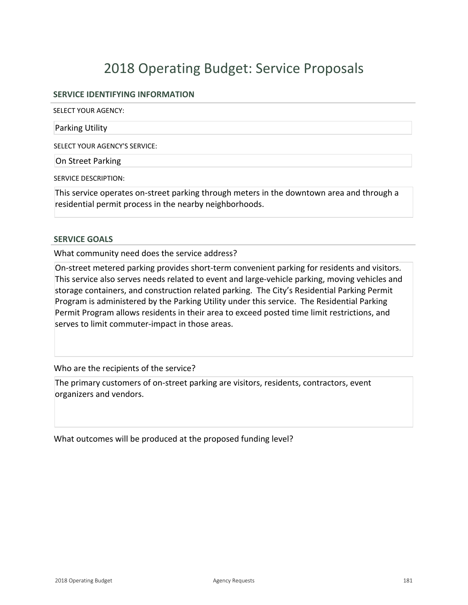## **SERVICE IDENTIFYING INFORMATION**

SELECT YOUR AGENCY:

Parking Utility

SELECT YOUR AGENCY'S SERVICE:

On Street Parking

SERVICE DESCRIPTION:

This service operates on-street parking through meters in the downtown area and through a residential permit process in the nearby neighborhoods.

### **SERVICE GOALS**

What community need does the service address?

On-street metered parking provides short-term convenient parking for residents and visitors. This service also serves needs related to event and large-vehicle parking, moving vehicles and storage containers, and construction related parking. The City's Residential Parking Permit Program is administered by the Parking Utility under this service. The Residential Parking Permit Program allows residents in their area to exceed posted time limit restrictions, and serves to limit commuter-impact in those areas.

### Who are the recipients of the service?

The primary customers of on-street parking are visitors, residents, contractors, event organizers and vendors.

What outcomes will be produced at the proposed funding level?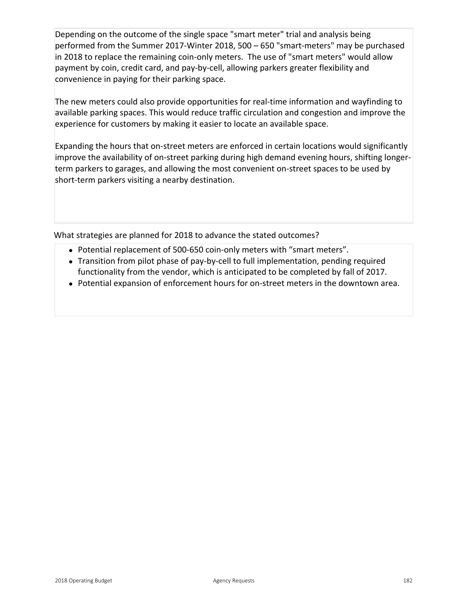Depending on the outcome of the single space "smart meter" trial and analysis being performed from the Summer 2017-Winter 2018, 500  $-650$  "smart-meters" may be purchased in 2018 to replace the remaining coin-only meters. The use of "smart meters" would allow payment by coin, credit card, and pay-by-cell, allowing parkers greater flexibility and convenience in paying for their parking space.

The new meters could also provide opportunities for real-time information and wayfinding to available parking spaces. This would reduce traffic circulation and congestion and improve the experience for customers by making it easier to locate an available space.

Expanding the hours that on-street meters are enforced in certain locations would significantly improve the availability of on-street parking during high demand evening hours, shifting longerterm parkers to garages, and allowing the most convenient on-street spaces to be used by short-term parkers visiting a nearby destination.

What strategies are planned for 2018 to advance the stated outcomes?

- Potential replacement of 500-650 coin-only meters with "smart meters".
- Transition from pilot phase of pay-by-cell to full implementation, pending required functionality from the vendor, which is anticipated to be completed by fall of 2017.
- Potential expansion of enforcement hours for on-street meters in the downtown area.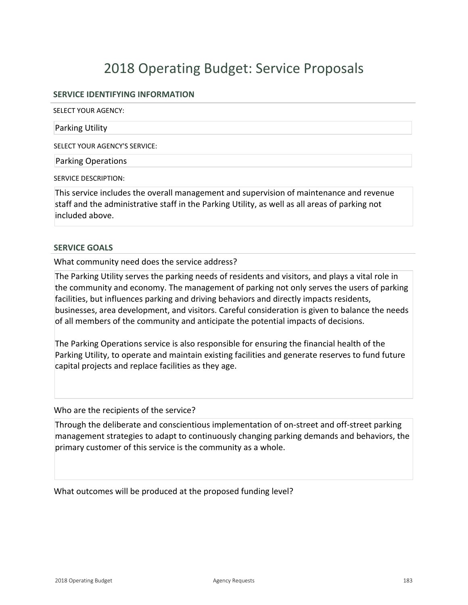### **SERVICE IDENTIFYING INFORMATION**

SELECT YOUR AGENCY:

Parking Utility

SELECT YOUR AGENCY'S SERVICE:

Parking Operations

SERVICE DESCRIPTION:

This service includes the overall management and supervision of maintenance and revenue staff and the administrative staff in the Parking Utility, as well as all areas of parking not included above.

### **SERVICE GOALS**

What community need does the service address?

The Parking Utility serves the parking needs of residents and visitors, and plays a vital role in the community and economy. The management of parking not only serves the users of parking facilities, but influences parking and driving behaviors and directly impacts residents, businesses, area development, and visitors. Careful consideration is given to balance the needs of all members of the community and anticipate the potential impacts of decisions.

The Parking Operations service is also responsible for ensuring the financial health of the Parking Utility, to operate and maintain existing facilities and generate reserves to fund future capital projects and replace facilities as they age.

Who are the recipients of the service?

Through the deliberate and conscientious implementation of on-street and off-street parking management strategies to adapt to continuously changing parking demands and behaviors, the primary customer of this service is the community as a whole.

What outcomes will be produced at the proposed funding level?